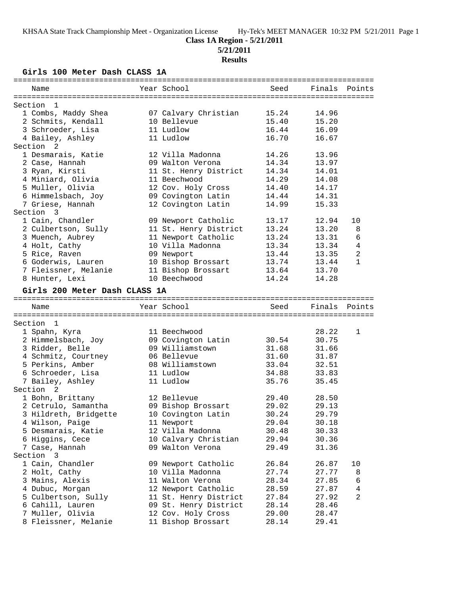**5/21/2011**

# **Results**

**Girls 100 Meter Dash CLASS 1A**

| Name                          | Year School           | Seed  | Finals Points |                |
|-------------------------------|-----------------------|-------|---------------|----------------|
| Section<br>- 1                |                       |       |               |                |
| 1 Combs, Maddy Shea           | 07 Calvary Christian  | 15.24 | 14.96         |                |
| 2 Schmits, Kendall            | 10 Bellevue           | 15.40 | 15.20         |                |
| 3 Schroeder, Lisa             | 11 Ludlow             | 16.44 | 16.09         |                |
| 4 Bailey, Ashley              | 11 Ludlow             | 16.70 | 16.67         |                |
| Section<br>-2                 |                       |       |               |                |
| 1 Desmarais, Katie            | 12 Villa Madonna      | 14.26 | 13.96         |                |
| 2 Case, Hannah                | 09 Walton Verona      | 14.34 | 13.97         |                |
| 3 Ryan, Kirsti                | 11 St. Henry District | 14.34 | 14.01         |                |
| 4 Miniard, Olivia             | 11 Beechwood          | 14.29 | 14.08         |                |
| 5 Muller, Olivia              | 12 Cov. Holy Cross    | 14.40 | 14.17         |                |
| 6 Himmelsbach, Joy            | 09 Covington Latin    | 14.44 | 14.31         |                |
| 7 Griese, Hannah              | 12 Covington Latin    | 14.99 | 15.33         |                |
| Section 3                     |                       |       |               |                |
| 1 Cain, Chandler              | 09 Newport Catholic   | 13.17 | 12.94         | 10             |
| 2 Culbertson, Sully           | 11 St. Henry District | 13.24 | 13.20         | 8              |
| 3 Muench, Aubrey              | 11 Newport Catholic   | 13.24 | 13.31         | 6              |
| 4 Holt, Cathy                 | 10 Villa Madonna      | 13.34 | 13.34         | 4              |
| 5 Rice, Raven                 | 09 Newport            | 13.44 | 13.35         | $\overline{a}$ |
| 6 Goderwis, Lauren            | 10 Bishop Brossart    | 13.74 | 13.44         | $\mathbf{1}$   |
| 7 Fleissner, Melanie          | 11 Bishop Brossart    | 13.64 | 13.70         |                |
| 8 Hunter, Lexi                | 10 Beechwood          | 14.24 | 14.28         |                |
| Girls 200 Meter Dash CLASS 1A |                       |       |               |                |
| Name                          | Year School           | Seed  | Finals Points |                |
|                               |                       |       |               |                |
| Section<br>$\overline{1}$     |                       |       |               |                |
| 1 Spahn, Kyra                 | 11 Beechwood          |       | 28.22         | $\mathbf{1}$   |
| 2 Himmelsbach, Joy            | 09 Covington Latin    | 30.54 | 30.75         |                |
| 3 Ridder, Belle               | 09 Williamstown       | 31.68 | 31.66         |                |
| 4 Schmitz, Courtney           | 06 Bellevue           | 31.60 | 31.87         |                |
| 5 Perkins, Amber              | 08 Williamstown       | 33.04 | 32.51         |                |
| 6 Schroeder, Lisa             | 11 Ludlow             | 34.88 | 33.83         |                |
| 7 Bailey, Ashley              | 11 Ludlow             | 35.76 | 35.45         |                |
| Section 2                     |                       |       |               |                |
| 1 Bohn, Brittany              | 12 Bellevue           | 29.40 | 28.50         |                |
| 2 Cetrulo, Samantha           | 09 Bishop Brossart    | 29.02 | 29.13         |                |
| 3 Hildreth, Bridgette         | 10 Covington Latin    | 30.24 | 29.79         |                |
| 4 Wilson, Paige               | 11 Newport            | 29.04 | 30.18         |                |
| 5 Desmarais, Katie            | 12 Villa Madonna      | 30.48 | 30.33         |                |
| 6 Higgins, Cece               | 10 Calvary Christian  | 29.94 | 30.36         |                |
| 7 Case, Hannah                | 09 Walton Verona      | 29.49 | 31.36         |                |
| Section 3                     |                       |       |               |                |
| 1 Cain, Chandler              | 09 Newport Catholic   | 26.84 | 26.87         | 10             |
| 2 Holt, Cathy                 | 10 Villa Madonna      | 27.74 | 27.77         | 8              |
| 3 Mains, Alexis               | 11 Walton Verona      | 28.34 | 27.85         | 6              |
| 4 Dubuc, Morgan               | 12 Newport Catholic   | 28.59 | 27.87         | 4              |
| 5 Culbertson, Sully           | 11 St. Henry District | 27.84 | 27.92         | 2              |
| 6 Cahill, Lauren              | 09 St. Henry District | 28.14 | 28.46         |                |
| 7 Muller, Olivia              | 12 Cov. Holy Cross    | 29.00 | 28.47         |                |
| 8 Fleissner, Melanie          | 11 Bishop Brossart    | 28.14 | 29.41         |                |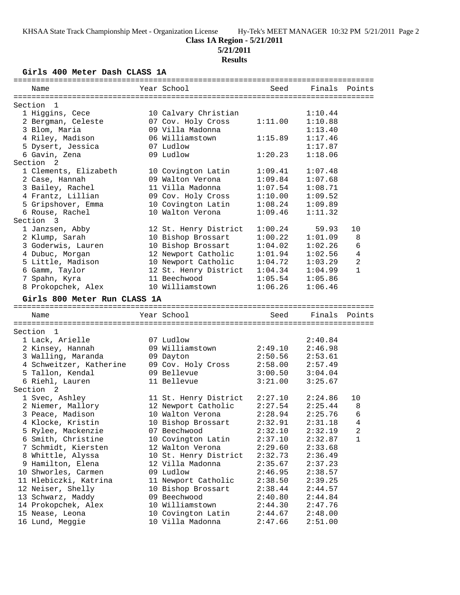# **Class 1A Region - 5/21/2011**

**5/21/2011**

# **Results**

**Girls 400 Meter Dash CLASS 1A**

| Name                                    | Year School                            | Seed               | Finals Points      |                 |
|-----------------------------------------|----------------------------------------|--------------------|--------------------|-----------------|
|                                         |                                        |                    |                    |                 |
| Section<br>1                            |                                        |                    |                    |                 |
| 1 Higgins, Cece                         | 10 Calvary Christian                   |                    | 1:10.44            |                 |
| 2 Bergman, Celeste                      | 07 Cov. Holy Cross                     | 1:11.00            | 1:10.88            |                 |
| 3 Blom, Maria                           | 09 Villa Madonna                       |                    | 1:13.40            |                 |
| 4 Riley, Madison                        | 06 Williamstown                        | 1:15.89            | 1:17.46            |                 |
| 5 Dysert, Jessica                       | 07 Ludlow                              |                    | 1:17.87            |                 |
| 6 Gavin, Zena<br>Section <sub>2</sub>   | 09 Ludlow                              | 1:20.23            | 1:18.06            |                 |
|                                         |                                        |                    |                    |                 |
| 1 Clements, Elizabeth                   | 10 Covington Latin<br>09 Walton Verona | 1:09.41            | 1:07.48            |                 |
| 2 Case, Hannah                          | 11 Villa Madonna                       | 1:09.84            | 1:07.68            |                 |
| 3 Bailey, Rachel                        |                                        | 1:07.54            | 1:08.71            |                 |
| 4 Frantz, Lillian                       | 09 Cov. Holy Cross                     | 1:10.00            | 1:09.52            |                 |
| 5 Gripshover, Emma                      | 10 Covington Latin                     | 1:08.24            | 1:09.89            |                 |
| 6 Rouse, Rachel                         | 10 Walton Verona                       | 1:09.46            | 1:11.32            |                 |
| Section 3                               |                                        |                    |                    |                 |
| 1 Janzsen, Abby                         | 12 St. Henry District                  | 1:00.24            | 59.93              | 10              |
| 2 Klump, Sarah                          | 10 Bishop Brossart                     | 1:00.22            | 1:01.09            | 8               |
| 3 Goderwis, Lauren                      | 10 Bishop Brossart                     | 1:04.02            | 1:02.26            | 6               |
| 4 Dubuc, Morgan                         | 12 Newport Catholic                    | 1:01.94            | 1:02.56            | 4               |
| 5 Little, Madison                       | 10 Newport Catholic                    | 1:04.72            | 1:03.29            | $\overline{a}$  |
| 6 Gamm, Taylor                          | 12 St. Henry District                  | 1:04.34            | 1:04.99            | $\mathbf{1}$    |
| 7 Spahn, Kyra                           | 11 Beechwood                           | 1:05.54            | 1:05.86            |                 |
| 8 Prokopchek, Alex                      | 10 Williamstown                        | 1:06.26            | 1:06.46            |                 |
| Girls 800 Meter Run CLASS 1A            |                                        |                    |                    |                 |
| Name                                    | Year School                            | Seed               | Finals             | Points          |
|                                         |                                        |                    |                    |                 |
| Section<br>- 1                          |                                        |                    |                    |                 |
| 1 Lack, Arielle                         | 07 Ludlow<br>09 Williamstown           |                    | 2:40.84            |                 |
| 2 Kinsey, Hannah                        |                                        | 2:49.10            | 2:46.98            |                 |
| 3 Walling, Maranda                      | 09 Dayton                              | 2:50.56            | 2:53.61            |                 |
| 4 Schweitzer, Katherine                 | 09 Cov. Holy Cross<br>09 Bellevue      | 2:58.00<br>3:00.50 | 2:57.49            |                 |
| 5 Tallon, Kendal                        | 11 Bellevue                            | 3:21.00            | 3:04.04            |                 |
| 6 Riehl, Lauren<br>Section <sub>2</sub> |                                        |                    | 3:25.67            |                 |
|                                         |                                        | 2:27.10            |                    | 10              |
| 1 Svec, Ashley                          | 11 St. Henry District                  | 2:27.54            | 2:24.86<br>2:25.44 | 8               |
| 2 Niemer, Mallory                       | 12 Newport Catholic                    | 2:28.94            |                    | $6\overline{6}$ |
| 3 Peace, Madison                        | 10 Walton Verona                       |                    | 2:25.76            |                 |
| 4 Klocke, Kristin<br>5 Rylee, Mackenzie | 10 Bishop Brossart                     | 2:32.91            | 2:31.18            | 4               |
|                                         | 07 Beechwood                           | 2:32.10            | 2:32.19            | 2               |
| 6 Smith, Christine                      | 10 Covington Latin<br>12 Walton Verona | 2:37.10            | 2:32.87            | 1               |
| 7 Schmidt, Kiersten                     |                                        | 2:29.60            | 2:33.68            |                 |
| 8 Whittle, Alyssa                       | 10 St. Henry District                  | 2:32.73            | 2:36.49            |                 |
| 9 Hamilton, Elena                       | 12 Villa Madonna                       | 2:35.67            | 2:37.23            |                 |
| 10 Shworles, Carmen                     | 09 Ludlow                              | 2:46.95            | 2:38.57            |                 |
| 11 Hlebiczki, Katrina                   | 11 Newport Catholic                    | 2:38.50            | 2:39.25            |                 |
| 12 Neiser, Shelly                       | 10 Bishop Brossart                     | 2:38.44            | 2:44.57            |                 |
|                                         |                                        |                    |                    |                 |
| 13 Schwarz, Maddy                       | 09 Beechwood                           | 2:40.80            | 2:44.84            |                 |
| 14 Prokopchek, Alex                     | 10 Williamstown                        | 2:44.30            | 2:47.76            |                 |
| 15 Nease, Leona<br>16 Lund, Meggie      | 10 Covington Latin<br>10 Villa Madonna | 2:44.67<br>2:47.66 | 2:48.00<br>2:51.00 |                 |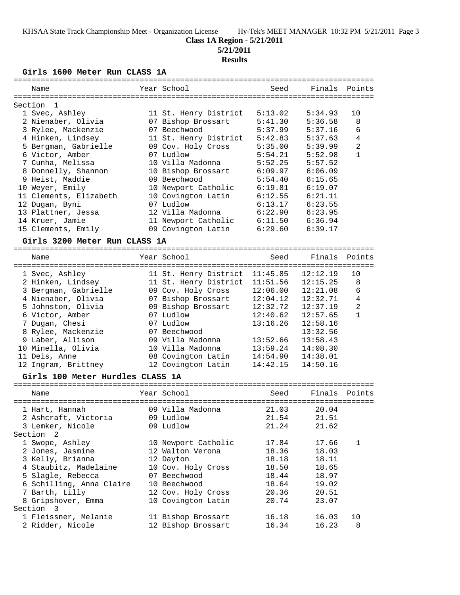## **Class 1A Region - 5/21/2011**

**5/21/2011**

## **Results**

**Girls 1600 Meter Run CLASS 1A**

| Name                          | Year School                    | Seed     | Finals   | Points         |
|-------------------------------|--------------------------------|----------|----------|----------------|
|                               |                                |          |          |                |
| Section<br>-1                 |                                |          |          |                |
| 1 Svec, Ashley                | 11 St. Henry District          | 5:13.02  | 5:34.93  | 10             |
| 2 Nienaber, Olivia            | 07 Bishop Brossart             | 5:41.30  | 5:36.58  | 8              |
| 3 Rylee, Mackenzie            | 07 Beechwood                   | 5:37.99  | 5:37.16  | 6              |
| 4 Hinken, Lindsey             | 11 St. Henry District          | 5:42.83  | 5:37.63  | 4              |
| 5 Bergman, Gabrielle          | 09 Cov. Holy Cross             | 5:35.00  | 5:39.99  | $\overline{2}$ |
| 6 Victor, Amber               | 07 Ludlow                      | 5:54.21  | 5:52.98  | $\mathbf{1}$   |
| 7 Cunha, Melissa              | 10 Villa Madonna               | 5:52.25  | 5:57.52  |                |
| 8 Donnelly, Shannon           | 10 Bishop Brossart             | 6:09.97  | 6:06.09  |                |
| 9 Heist, Maddie               | 09 Beechwood                   | 5:54.40  | 6:15.65  |                |
| 10 Weyer, Emily               | 10 Newport Catholic            | 6:19.81  | 6:19.07  |                |
| 11 Clements, Elizabeth        | 10 Covington Latin             | 6:12.55  | 6:21.11  |                |
| 12 Dugan, Byni                | 07 Ludlow                      | 6:13.17  | 6:23.55  |                |
| 13 Plattner, Jessa            | 12 Villa Madonna               | 6:22.90  | 6:23.95  |                |
| 14 Kruer, Jamie               | 11 Newport Catholic            | 6:11.50  | 6:36.94  |                |
| 15 Clements, Emily            | 09 Covington Latin             | 6:29.60  | 6:39.17  |                |
| Girls 3200 Meter Run CLASS 1A |                                |          |          |                |
|                               |                                |          |          |                |
| Name                          | Year School                    | Seed     | Finals   | Points         |
| 1 Svec, Ashley                | 11 St. Henry District 11:45.85 |          | 12:12.19 | 10             |
| 2 Hinken, Lindsey             | 11 St. Henry District          | 11:51.56 | 12:15.25 | 8              |
| 3 Bergman, Gabrielle          | 09 Cov. Holy Cross             | 12:06.00 | 12:21.08 | 6              |
| 4 Nienaber, Olivia            | 07 Bishop Brossart             | 12:04.12 | 12:32.71 | 4              |
| 5 Johnston, Olivia            | 09 Bishop Brossart             | 12:32.72 | 12:37.19 | $\overline{2}$ |
| 6 Victor, Amber               | 07 Ludlow                      | 12:40.62 | 12:57.65 | $\mathbf{1}$   |
| 7 Dugan, Chesi                | 07 Ludlow                      | 13:16.26 | 12:58.16 |                |
| 8 Rylee, Mackenzie            | 07 Beechwood                   |          | 13:32.56 |                |
| 9 Laber, Allison              | 09 Villa Madonna               | 13:52.66 | 13:58.43 |                |
| 10 Minella, Olivia            | 10 Villa Madonna               | 13:59.24 | 14:08.30 |                |
| 11 Deis, Anne                 | 08 Covington Latin             | 14:54.90 | 14:38.01 |                |
| 12 Ingram, Brittney           | 12 Covington Latin             | 14:42.15 | 14:50.16 |                |
|                               |                                |          |          |                |

## **Girls 100 Meter Hurdles CLASS 1A**

| Name                                                                                                                                                                                   | Year School                                                                                                                                            | Seed                                                                 | Finals Points                                                        |         |
|----------------------------------------------------------------------------------------------------------------------------------------------------------------------------------------|--------------------------------------------------------------------------------------------------------------------------------------------------------|----------------------------------------------------------------------|----------------------------------------------------------------------|---------|
| 1 Hart, Hannah<br>2 Ashcraft, Victoria<br>3 Lemker, Nicole                                                                                                                             | 09 Villa Madonna<br>09 Ludlow<br>09 Ludlow                                                                                                             | 21.03<br>21.54<br>21.24                                              | 20.04<br>21.51<br>21.62                                              |         |
| Section 2<br>1 Swope, Ashley<br>2 Jones, Jasmine<br>3 Kelly, Brianna<br>4 Staubitz, Madelaine<br>5 Slagle, Rebecca<br>6 Schilling, Anna Claire<br>7 Barth, Lilly<br>8 Gripshover, Emma | 10 Newport Catholic<br>12 Walton Verona<br>12 Dayton<br>10 Cov. Holy Cross<br>07 Beechwood<br>10 Beechwood<br>12 Cov. Holy Cross<br>10 Covington Latin | 17.84<br>18.36<br>18.18<br>18.50<br>18.44<br>18.64<br>20.36<br>20.74 | 17.66<br>18.03<br>18.11<br>18.65<br>18.97<br>19.02<br>20.51<br>23.07 | 1       |
| Section 3<br>1 Fleissner, Melanie<br>2 Ridder, Nicole                                                                                                                                  | 11 Bishop Brossart<br>12 Bishop Brossart                                                                                                               | 16.18<br>16.34                                                       | 16.03<br>16.23                                                       | 10<br>8 |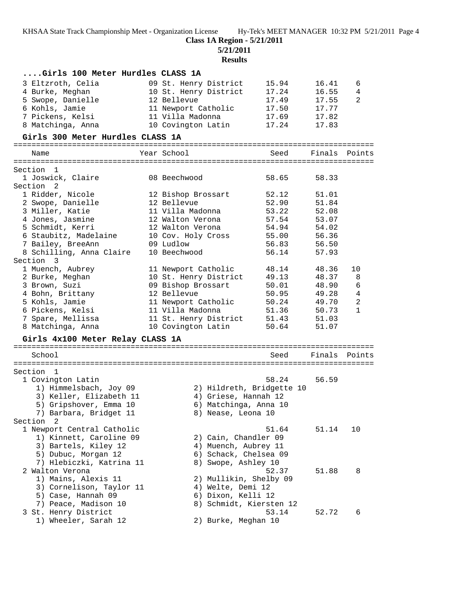**5/21/2011**

**Results**

| Girls 100 Meter Hurdles CLASS 1A |                           |       |               |              |
|----------------------------------|---------------------------|-------|---------------|--------------|
| 3 Eltzroth, Celia                | 09 St. Henry District     | 15.94 | 16.41         | 6            |
| 4 Burke, Meghan                  | 10 St. Henry District     | 17.24 | 16.55         | 4            |
| 5 Swope, Danielle                | 12 Bellevue               | 17.49 | 17.55         | 2            |
| 6 Kohls, Jamie                   | 11 Newport Catholic       | 17.50 | 17.77         |              |
| 7 Pickens, Kelsi                 | 11 Villa Madonna          | 17.69 | 17.82         |              |
| 8 Matchinga, Anna                | 10 Covington Latin        | 17.24 | 17.83         |              |
|                                  |                           |       |               |              |
| Girls 300 Meter Hurdles CLASS 1A |                           |       |               |              |
| Name                             | Year School               | Seed  | Finals        | Points       |
|                                  |                           |       |               |              |
| Section 1<br>1 Joswick, Claire   | 08 Beechwood              | 58.65 | 58.33         |              |
| Section 2                        |                           |       |               |              |
| 1 Ridder, Nicole                 | 12 Bishop Brossart        | 52.12 | 51.01         |              |
|                                  | 12 Bellevue               | 52.90 | 51.84         |              |
| 2 Swope, Danielle                | 11 Villa Madonna          | 53.22 |               |              |
| 3 Miller, Katie                  |                           |       | 52.08         |              |
| 4 Jones, Jasmine                 | 12 Walton Verona          | 57.54 | 53.07         |              |
| 5 Schmidt, Kerri                 | 12 Walton Verona          | 54.94 | 54.02         |              |
| 6 Staubitz, Madelaine            | 10 Cov. Holy Cross        | 55.00 | 56.36         |              |
| 7 Bailey, BreeAnn                | 09 Ludlow                 | 56.83 | 56.50         |              |
| 8 Schilling, Anna Claire         | 10 Beechwood              | 56.14 | 57.93         |              |
| Section 3                        |                           |       |               |              |
| 1 Muench, Aubrey                 | 11 Newport Catholic       | 48.14 | 48.36         | 10           |
| 2 Burke, Meghan                  | 10 St. Henry District     | 49.13 | 48.37         | 8            |
| 3 Brown, Suzi                    | 09 Bishop Brossart        | 50.01 | 48.90         | 6            |
| 4 Bohn, Brittany                 | 12 Bellevue               | 50.95 | 49.28         | 4            |
| 5 Kohls, Jamie                   | 11 Newport Catholic       | 50.24 | 49.70         | 2            |
| 6 Pickens, Kelsi                 | 11 Villa Madonna          | 51.36 | 50.73         | $\mathbf{1}$ |
| 7 Spare, Mellissa                | 11 St. Henry District     | 51.43 | 51.03         |              |
| 8 Matchinga, Anna                | 10 Covington Latin        | 50.64 | 51.07         |              |
| Girls 4x100 Meter Relay CLASS 1A |                           |       |               |              |
|                                  |                           |       |               |              |
| School                           |                           | Seed  | Finals Points |              |
| Section 1                        |                           |       |               |              |
| 1 Covington Latin                |                           | 58.24 | 56.59         |              |
| 1) Himmelsbach, Joy 09           | 2) Hildreth, Bridgette 10 |       |               |              |
| 3) Keller, Elizabeth 11          | 4) Griese, Hannah 12      |       |               |              |
| 5) Gripshover, Emma 10           | 6) Matchinga, Anna 10     |       |               |              |
| 7) Barbara, Bridget 11           | 8) Nease, Leona 10        |       |               |              |
| Section<br>$\overline{2}$        |                           |       |               |              |
| 1 Newport Central Catholic       |                           | 51.64 | 51.14         | 10           |
| 1) Kinnett, Caroline 09          | 2) Cain, Chandler 09      |       |               |              |
| 3) Bartels, Kiley 12             | 4) Muench, Aubrey 11      |       |               |              |
| 5) Dubuc, Morgan 12              | 6) Schack, Chelsea 09     |       |               |              |
| 7) Hlebiczki, Katrina 11         | 8) Swope, Ashley 10       |       |               |              |
|                                  |                           |       |               |              |
| 2 Walton Verona                  |                           | 52.37 | 51.88         | 8            |
| 1) Mains, Alexis 11              | 2) Mullikin, Shelby 09    |       |               |              |
| 3) Cornelison, Taylor 11         | 4) Welte, Demi 12         |       |               |              |
| 5) Case, Hannah 09               | 6) Dixon, Kelli 12        |       |               |              |
| 7) Peace, Madison 10             | 8) Schmidt, Kiersten 12   |       |               |              |
| 3 St. Henry District             |                           | 53.14 | 52.72         | 6            |
| 1) Wheeler, Sarah 12             | 2) Burke, Meghan 10       |       |               |              |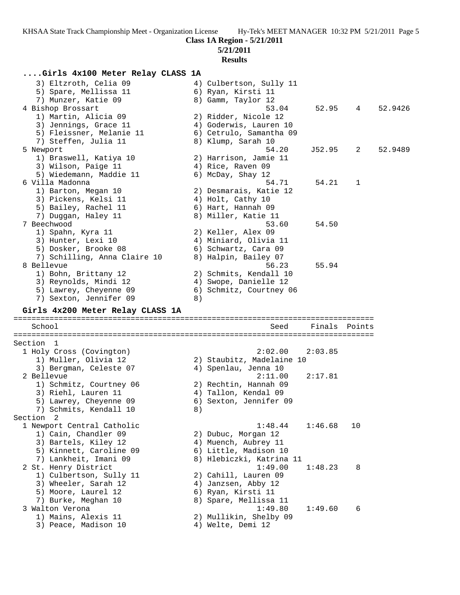**5/21/2011**

## **Results**

# **....Girls 4x100 Meter Relay CLASS 1A**

| 3) Eltzroth, Celia 09<br>5) Spare, Mellissa 11<br>7) Munzer, Katie 09<br>4 Bishop Brossart<br>1) Martin, Alicia 09<br>3) Jennings, Grace 11<br>5) Fleissner, Melanie 11 |    | 4) Culbertson, Sully 11<br>6) Ryan, Kirsti 11<br>8) Gamm, Taylor 12<br>53.04<br>2) Ridder, Nicole 12<br>4) Goderwis, Lauren 10<br>6) Cetrulo, Samantha 09 | 52.95   | $4\degree$ | 52.9426 |
|-------------------------------------------------------------------------------------------------------------------------------------------------------------------------|----|-----------------------------------------------------------------------------------------------------------------------------------------------------------|---------|------------|---------|
| 7) Steffen, Julia 11<br>5 Newport<br>1) Braswell, Katiya 10<br>3) Wilson, Paige 11<br>5) Wiedemann, Maddie 11                                                           |    | 8) Klump, Sarah 10<br>54.20<br>2) Harrison, Jamie 11<br>4) Rice, Raven 09<br>6) McDay, Shay 12                                                            | J52.95  | 2          | 52.9489 |
| 6 Villa Madonna<br>1) Barton, Megan 10<br>3) Pickens, Kelsi 11<br>5) Bailey, Rachel 11<br>7) Duggan, Haley 11                                                           |    | 54.71<br>2) Desmarais, Katie 12<br>4) Holt, Cathy 10<br>6) Hart, Hannah 09<br>8) Miller, Katie 11                                                         | 54.21   | 1          |         |
| 7 Beechwood<br>1) Spahn, Kyra 11<br>3) Hunter, Lexi 10<br>5) Dosker, Brooke 08<br>7) Schilling, Anna Claire 10                                                          |    | 53.60<br>2) Keller, Alex 09<br>4) Miniard, Olivia 11<br>6) Schwartz, Cara 09<br>8) Halpin, Bailey 07                                                      | 54.50   |            |         |
| 8 Bellevue<br>1) Bohn, Brittany 12<br>3) Reynolds, Mindi 12<br>5) Lawrey, Cheyenne 09<br>7) Sexton, Jennifer 09                                                         | 8) | 56.23<br>2) Schmits, Kendall 10<br>4) Swope, Danielle 12<br>6) Schmitz, Courtney 06                                                                       | 55.94   |            |         |
| Girls 4x200 Meter Relay CLASS 1A                                                                                                                                        |    |                                                                                                                                                           |         |            |         |
| School                                                                                                                                                                  |    | Seed                                                                                                                                                      | Finals  | Points     |         |
| Section 1<br>1 Holy Cross (Covington)                                                                                                                                   |    | 2:02.00                                                                                                                                                   | 2:03.85 |            |         |
| 1) Muller, Olivia 12<br>3) Bergman, Celeste 07                                                                                                                          |    | 2) Staubitz, Madelaine 10<br>4) Spenlau, Jenna 10                                                                                                         |         |            |         |
| 2 Bellevue<br>1) Schmitz, Courtney 06<br>3) Riehl, Lauren 11<br>5) Lawrey, Cheyenne 09<br>7) Schmits, Kendall 10                                                        | 8) | 2:11.00<br>2) Rechtin, Hannah 09<br>4) Tallon, Kendal 09<br>6) Sexton, Jennifer 09                                                                        | 2:17.81 |            |         |
| Section<br>$\overline{\phantom{0}}^2$<br>1 Newport Central Catholic<br>1) Cain, Chandler 09<br>3) Bartels, Kiley 12<br>5) Kinnett, Caroline 09<br>7) Lankheit, Imani 09 |    | 1:48.44<br>2) Dubuc, Morgan 12<br>4) Muench, Aubrey 11<br>6) Little, Madison 10<br>8) Hlebiczki, Katrina 11                                               | 1:46.68 | 10         |         |
| 2 St. Henry District<br>1) Culbertson, Sully 11<br>3) Wheeler, Sarah 12<br>5) Moore, Laurel 12<br>7) Burke, Meghan 10                                                   |    | 1:49.00<br>2) Cahill, Lauren 09<br>4) Janzsen, Abby 12<br>6) Ryan, Kirsti 11<br>8) Spare, Mellissa 11                                                     | 1:48.23 | 8          |         |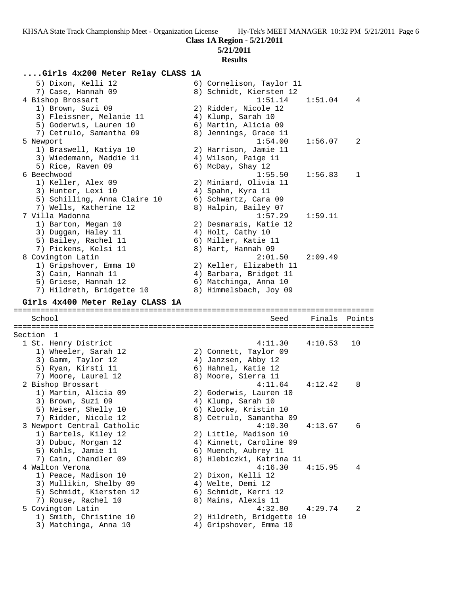# **5/21/2011**

# **Results**

# **....Girls 4x200 Meter Relay CLASS 1A**

| 5) Dixon, Kelli 12<br>7) Case, Hannah 09<br>4 Bishop Brossart<br>1) Brown, Suzi 09<br>3) Fleissner, Melanie 11<br>5) Goderwis, Lauren 10<br>7) Cetrulo, Samantha 09 | 6) Cornelison, Taylor 11<br>8) Schmidt, Kiersten 12<br>1:51.14<br>2) Ridder, Nicole 12<br>4) Klump, Sarah 10<br>6) Martin, Alicia 09<br>8) Jennings, Grace 11 | 1:51.04 | 4      |
|---------------------------------------------------------------------------------------------------------------------------------------------------------------------|---------------------------------------------------------------------------------------------------------------------------------------------------------------|---------|--------|
| 5 Newport<br>1) Braswell, Katiya 10<br>3) Wiedemann, Maddie 11<br>5) Rice, Raven 09                                                                                 | 1:54.00<br>2) Harrison, Jamie 11<br>4) Wilson, Paige 11                                                                                                       | 1:56.07 | 2      |
| 6 Beechwood<br>1) Keller, Alex 09<br>3) Hunter, Lexi 10<br>5) Schilling, Anna Claire 10<br>7) Wells, Katherine 12                                                   | 6) McDay, Shay 12<br>1:55.50<br>2) Miniard, Olivia 11<br>4) Spahn, Kyra 11<br>6) Schwartz, Cara 09<br>8) Halpin, Bailey 07                                    | 1:56.83 | 1      |
| 7 Villa Madonna<br>1) Barton, Megan 10<br>3) Duggan, Haley 11<br>5) Bailey, Rachel 11<br>7) Pickens, Kelsi 11                                                       | 1:57.29<br>2) Desmarais, Katie 12<br>4) Holt, Cathy 10<br>6) Miller, Katie 11<br>8) Hart, Hannah 09                                                           | 1:59.11 |        |
| 8 Covington Latin<br>1) Gripshover, Emma 10<br>3) Cain, Hannah 11<br>5) Griese, Hannah 12<br>7) Hildreth, Bridgette 10                                              | 2:01.50<br>2) Keller, Elizabeth 11<br>4) Barbara, Bridget 11<br>6) Matchinga, Anna 10<br>8) Himmelsbach, Joy 09                                               | 2:09.49 |        |
| Girls 4x400 Meter Relay CLASS 1A                                                                                                                                    |                                                                                                                                                               |         |        |
|                                                                                                                                                                     |                                                                                                                                                               |         |        |
| School                                                                                                                                                              | Seed                                                                                                                                                          | Finals  | Points |
| Section 1                                                                                                                                                           |                                                                                                                                                               |         |        |
| 1 St. Henry District<br>1) Wheeler, Sarah 12<br>3) Gamm, Taylor 12<br>5) Ryan, Kirsti 11                                                                            | 4:11.30<br>2) Connett, Taylor 09<br>4) Janzsen, Abby 12<br>6) Hahnel, Katie 12                                                                                | 4:10.53 | 10     |
| 7) Moore, Laurel 12<br>2 Bishop Brossart<br>1) Martin, Alicia 09<br>3) Brown, Suzi 09<br>5) Neiser, Shelly 10                                                       | 8) Moore, Sierra 11<br>4:11.64<br>2) Goderwis, Lauren 10<br>4) Klump, Sarah 10<br>6) Klocke, Kristin 10                                                       | 4:12.42 | 8      |
| 7) Ridder, Nicole 12<br>3 Newport Central Catholic<br>1) Bartels, Kiley 12<br>3) Dubuc, Morgan 12<br>5) Kohls, Jamie 11                                             | 8) Cetrulo, Samantha 09<br>4:10.30<br>2) Little, Madison 10<br>4) Kinnett, Caroline 09<br>6) Muench, Aubrey 11                                                | 4:13.67 | 6      |
| 7) Cain, Chandler 09<br>4 Walton Verona<br>1) Peace, Madison 10<br>3) Mullikin, Shelby 09<br>5) Schmidt, Kiersten 12<br>7) Rouse, Rachel 10                         | 8) Hlebiczki, Katrina 11<br>4:16.30<br>2) Dixon, Kelli 12<br>4) Welte, Demi 12<br>6) Schmidt, Kerri 12<br>8) Mains, Alexis 11                                 | 4:15.95 | 4      |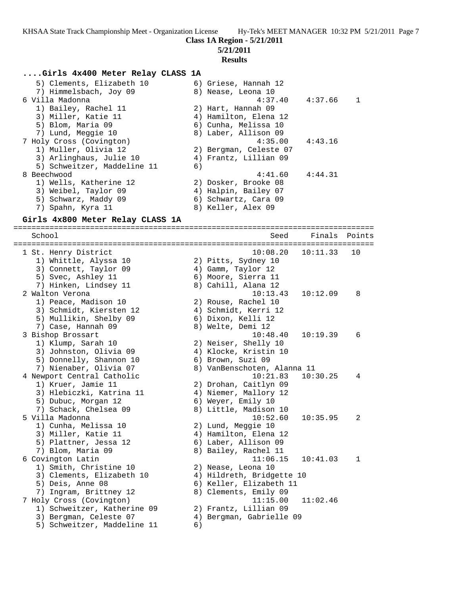**Class 1A Region - 5/21/2011**

**5/21/2011**

## **Results**

## **....Girls 4x400 Meter Relay CLASS 1A**

| 5) Clements, Elizabeth 10   | 6) Griese, Hannah 12   |         |              |
|-----------------------------|------------------------|---------|--------------|
| 7) Himmelsbach, Joy 09      | 8) Nease, Leona 10     |         |              |
| 6 Villa Madonna             | $4:37.40$ $4:37.66$    |         | $\mathbf{1}$ |
| 1) Bailey, Rachel 11        | 2) Hart, Hannah 09     |         |              |
| 3) Miller, Katie 11         | 4) Hamilton, Elena 12  |         |              |
| 5) Blom, Maria 09           | 6) Cunha, Melissa 10   |         |              |
| 7) Lund, Meggie 10          | 8) Laber, Allison 09   |         |              |
| 7 Holy Cross (Covington)    | 4:35.00                | 4:43.16 |              |
| 1) Muller, Olivia 12        | 2) Bergman, Celeste 07 |         |              |
| 3) Arlinghaus, Julie 10     | 4) Frantz, Lillian 09  |         |              |
| 5) Schweitzer, Maddeline 11 | 6)                     |         |              |
| 8 Beechwood                 | 4:41.60                | 4:44.31 |              |
| 1) Wells, Katherine 12      | 2) Dosker, Brooke 08   |         |              |
| 3) Weibel, Taylor 09        | 4) Halpin, Bailey 07   |         |              |
| 5) Schwarz, Maddy 09        | 6) Schwartz, Cara 09   |         |              |
| 7) Spahn, Kyra 11           | 8) Keller, Alex 09     |         |              |

## **Girls 4x800 Meter Relay CLASS 1A**

================================================================================ School Seed Finals Points

| 1 St. Henry District        |    | 10:08.20<br>10:11.33        | 10           |
|-----------------------------|----|-----------------------------|--------------|
| 1) Whittle, Alyssa 10       |    | 2) Pitts, Sydney 10         |              |
| 3) Connett, Taylor 09       |    | 4) Gamm, Taylor 12          |              |
| 5) Svec, Ashley 11          |    | 6) Moore, Sierra 11         |              |
| 7) Hinken, Lindsey 11       |    | 8) Cahill, Alana 12         |              |
| 2 Walton Verona             |    | 10:13.43<br>10:12.09        | 8            |
| 1) Peace, Madison 10        |    | 2) Rouse, Rachel 10         |              |
| 3) Schmidt, Kiersten 12     |    | 4) Schmidt, Kerri 12        |              |
| 5) Mullikin, Shelby 09      |    | 6) Dixon, Kelli 12          |              |
| 7) Case, Hannah 09          |    | 8) Welte, Demi 12           |              |
| 3 Bishop Brossart           |    | 10:19.39<br>10:48.40        | 6            |
| 1) Klump, Sarah 10          |    | 2) Neiser, Shelly 10        |              |
| 3) Johnston, Olivia 09      |    | 4) Klocke, Kristin 10       |              |
| 5) Donnelly, Shannon 10     |    | 6) Brown, Suzi 09           |              |
| 7) Nienaber, Olivia 07      |    | 8) VanBenschoten, Alanna 11 |              |
| 4 Newport Central Catholic  |    | 10:21.83<br>10:30.25        | 4            |
| 1) Kruer, Jamie 11          |    | 2) Drohan, Caitlyn 09       |              |
| 3) Hlebiczki, Katrina 11    |    | 4) Niemer, Mallory 12       |              |
| 5) Dubuc, Morgan 12         |    | 6) Weyer, Emily 10          |              |
| 7) Schack, Chelsea 09       |    | 8) Little, Madison 10       |              |
| 5 Villa Madonna             |    | 10:52.60<br>10:35.95        | 2            |
| 1) Cunha, Melissa 10        |    | 2) Lund, Meggie 10          |              |
| 3) Miller, Katie 11         |    | 4) Hamilton, Elena 12       |              |
| 5) Plattner, Jessa 12       |    | 6) Laber, Allison 09        |              |
| 7) Blom, Maria 09           |    | 8) Bailey, Rachel 11        |              |
| 6 Covington Latin           |    | 11:06.15<br>10:41.03        | $\mathbf{1}$ |
| 1) Smith, Christine 10      |    | 2) Nease, Leona 10          |              |
| 3) Clements, Elizabeth 10   |    | 4) Hildreth, Bridgette 10   |              |
| 5) Deis, Anne 08            |    | 6) Keller, Elizabeth 11     |              |
| 7) Ingram, Brittney 12      |    | 8) Clements, Emily 09       |              |
| 7 Holy Cross (Covington)    |    | 11:15.00<br>11:02.46        |              |
| 1) Schweitzer, Katherine 09 |    | 2) Frantz, Lillian 09       |              |
| 3) Bergman, Celeste 07      |    | 4) Bergman, Gabrielle 09    |              |
| 5) Schweitzer, Maddeline 11 | 6) |                             |              |
|                             |    |                             |              |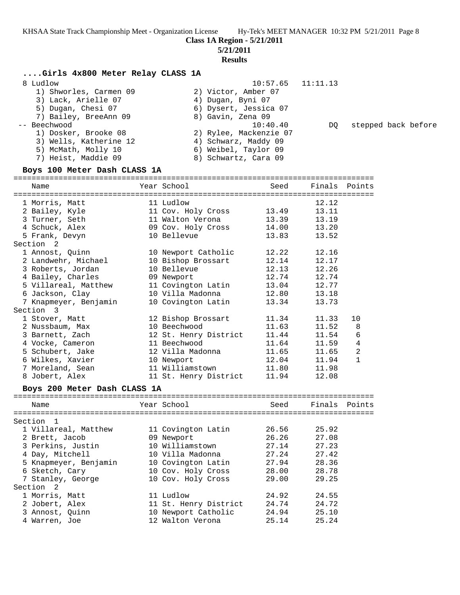# **5/21/2011**

# **Results**

## **....Girls 4x800 Meter Relay CLASS 1A**

| 8 Ludlow               | $10:57.65$ $11:11.13$  |     |                     |
|------------------------|------------------------|-----|---------------------|
| 1) Shworles, Carmen 09 | 2) Victor, Amber 07    |     |                     |
| 3) Lack, Arielle 07    | 4) Dugan, Byni 07      |     |                     |
| 5) Dugan, Chesi 07     | 6) Dysert, Jessica 07  |     |                     |
| 7) Bailey, BreeAnn 09  | 8) Gavin, Zena 09      |     |                     |
| -- Beechwood           | 10:40.40               | DO. | stepped back before |
| 1) Dosker, Brooke 08   | 2) Rylee, Mackenzie 07 |     |                     |
| 3) Wells, Katherine 12 | 4) Schwarz, Maddy 09   |     |                     |
| 5) McMath, Molly 10    | 6) Weibel, Taylor 09   |     |                     |
| 7) Heist, Maddie 09    | 8) Schwartz, Cara 09   |     |                     |
|                        |                        |     |                     |

## **Boys 100 Meter Dash CLASS 1A**

| Name                         | Year School           | Seed  | Finals        | Points         |
|------------------------------|-----------------------|-------|---------------|----------------|
| 1 Morris, Matt               | 11 Ludlow             |       | 12.12         |                |
| 2 Bailey, Kyle               | 11 Cov. Holy Cross    | 13.49 | 13.11         |                |
| 3 Turner, Seth               | 11 Walton Verona      | 13.39 | 13.19         |                |
| 4 Schuck, Alex               | 09 Cov. Holy Cross    | 14.00 | 13.20         |                |
| 5 Frank, Devyn               | 10 Bellevue           | 13.83 | 13.52         |                |
| Section <sub>2</sub>         |                       |       |               |                |
| 1 Annost, Quinn              | 10 Newport Catholic   | 12.22 | 12.16         |                |
| 2 Landwehr, Michael          | 10 Bishop Brossart    | 12.14 | 12.17         |                |
| 3 Roberts, Jordan            | 10 Bellevue           | 12.13 | 12.26         |                |
| 4 Bailey, Charles            | 09 Newport            | 12.74 | 12.74         |                |
| 5 Villareal, Matthew         | 11 Covington Latin    | 13.04 | 12.77         |                |
| 6 Jackson, Clay              | 10 Villa Madonna      | 12.80 | 13.18         |                |
| 7 Knapmeyer, Benjamin        | 10 Covington Latin    | 13.34 | 13.73         |                |
| Section 3                    |                       |       |               |                |
| 1 Stover, Matt               | 12 Bishop Brossart    | 11.34 | 11.33         | 10             |
| 2 Nussbaum, Max              | 10 Beechwood          | 11.63 | 11.52         | 8              |
| 3 Barnett, Zach              | 12 St. Henry District | 11.44 | 11.54         | 6              |
| 4 Vocke, Cameron             | 11 Beechwood          | 11.64 | 11.59         | $\bf 4$        |
| 5 Schubert, Jake             | 12 Villa Madonna      | 11.65 | 11.65         | $\overline{2}$ |
| 6 Wilkes, Xavier             | 10 Newport            | 12.04 | 11.94         | $\mathbf{1}$   |
| 7 Moreland, Sean             | 11 Williamstown       | 11.80 | 11.98         |                |
| 8 Jobert, Alex               | 11 St. Henry District | 11.94 | 12.08         |                |
| Boys 200 Meter Dash CLASS 1A |                       |       |               |                |
|                              |                       |       |               |                |
| Name                         | Year School           | Seed  | Finals Points |                |
| Section 1                    |                       |       |               |                |
| 1 Villareal, Matthew         | 11 Covington Latin    | 26.56 | 25.92         |                |
| 2 Brett, Jacob               | 09 Newport            | 26.26 | 27.08         |                |
| 3 Perkins, Justin            | 10 Williamstown       | 27.14 | 27.23         |                |
| 4 Day, Mitchell              | 10 Villa Madonna      | 27.24 | 27.42         |                |
| 5 Knapmeyer, Benjamin        | 10 Covington Latin    | 27.94 | 28.36         |                |
| 6 Sketch, Cary               | 10 Cov. Holy Cross    | 28.00 | 28.78         |                |
| 7 Stanley, George            | 10 Cov. Holy Cross    | 29.00 | 29.25         |                |
| Section<br>-2                |                       |       |               |                |
| 1 Morris, Matt               | 11 Ludlow             | 24.92 | 24.55         |                |
| 2 Jobert, Alex               | 11 St. Henry District | 24.74 | 24.72         |                |

 3 Annost, Quinn 10 Newport Catholic 24.94 25.10 4 Warren, Joe 12 Walton Verona 25.14 25.24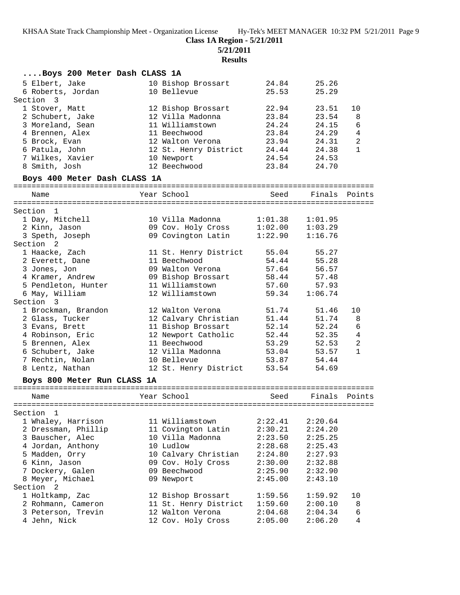**Class 1A Region - 5/21/2011**

**5/21/2011**

# **Results**

| Boys 200 Meter Dash CLASS 1A   |                                        |                |                |                |
|--------------------------------|----------------------------------------|----------------|----------------|----------------|
| 5 Elbert, Jake                 | 10 Bishop Brossart                     | 24.84          | 25.26          |                |
| 6 Roberts, Jordan              | 10 Bellevue                            | 25.53          | 25.29          |                |
| Section 3                      |                                        |                |                |                |
| 1 Stover, Matt                 | 12 Bishop Brossart                     | 22.94          | 23.51          | 10             |
| 2 Schubert, Jake               | 12 Villa Madonna                       | 23.84          | 23.54          | 8              |
| 3 Moreland, Sean               | 11 Williamstown                        | 24.24          | 24.15          | 6              |
| 4 Brennen, Alex                | 11 Beechwood                           | 23.84          | 24.29          | $\overline{4}$ |
| 5 Brock, Evan                  | 12 Walton Verona                       | 23.94          | 24.31          | 2              |
| 6 Patula, John                 | 12 St. Henry District                  | 24.44          | 24.38          | $\mathbf{1}$   |
| 7 Wilkes, Xavier               | 10 Newport                             | 24.54          | 24.53          |                |
| 8 Smith, Josh                  | 12 Beechwood                           | 23.84          | 24.70          |                |
| Boys 400 Meter Dash CLASS 1A   |                                        |                |                |                |
| Name                           | Year School                            | Seed           | Finals         | Points         |
|                                |                                        |                |                |                |
| Section<br>1                   |                                        |                |                |                |
| 1 Day, Mitchell                | 10 Villa Madonna                       | 1:01.38        | 1:01.95        |                |
| 2 Kinn, Jason                  | 09 Cov. Holy Cross                     | 1:02.00        | 1:03.29        |                |
| 3 Speth, Joseph                | 09 Covington Latin                     | 1:22.90        | 1:16.76        |                |
| Section 2                      |                                        |                |                |                |
| 1 Haacke, Zach                 | 11 St. Henry District<br>11 Beechwood  | 55.04          | 55.27<br>55.28 |                |
| 2 Everett, Dane                | 09 Walton Verona                       | 54.44<br>57.64 | 56.57          |                |
| 3 Jones, Jon                   |                                        |                |                |                |
| 4 Kramer, Andrew               | 09 Bishop Brossart<br>11 Williamstown  | 58.44<br>57.60 | 57.48<br>57.93 |                |
| 5 Pendleton, Hunter            | 12 Williamstown                        | 59.34          | 1:06.74        |                |
| 6 May, William<br>Section<br>3 |                                        |                |                |                |
| 1 Brockman, Brandon            | 12 Walton Verona                       | 51.74          | 51.46          | 10             |
| 2 Glass, Tucker                | 12 Calvary Christian                   | 51.44          | 51.74          | 8              |
| 3 Evans, Brett                 | 11 Bishop Brossart                     | 52.14          | 52.24          | 6              |
| 4 Robinson, Eric               | 12 Newport Catholic                    | 52.44          | 52.35          | 4              |
| 5 Brennen, Alex                | 11 Beechwood                           | 53.29          | 52.53          | $\overline{2}$ |
| 6 Schubert, Jake               | 12 Villa Madonna                       | 53.04          | 53.57          | $\mathbf{1}$   |
| 7 Rechtin, Nolan               | 10 Bellevue                            | 53.87          | 54.44          |                |
| 8 Lentz, Nathan                | 12 St. Henry District                  | 53.54          | 54.69          |                |
| Boys 800 Meter Run CLASS 1A    |                                        |                |                |                |
| ================               | -------------------------------------- |                |                |                |
| Name                           | Year School                            | Seed           | Finals         | Points         |
| Section<br>1                   |                                        |                |                |                |
| 1 Whaley, Harrison             | 11 Williamstown                        | 2:22.41        | 2:20.64        |                |
| 2 Dressman, Phillip            | 11 Covington Latin                     | 2:30.21        | 2:24.20        |                |
| 3 Bauscher, Alec               | 10 Villa Madonna                       | 2:23.50        | 2:25.25        |                |
| 4 Jordan, Anthony              | 10 Ludlow                              | 2:28.68        | 2:25.43        |                |
| 5 Madden, Orry                 | 10 Calvary Christian                   | 2:24.80        | 2:27.93        |                |
| 6 Kinn, Jason                  | 09 Cov. Holy Cross                     | 2:30.00        | 2:32.88        |                |
| 7 Dockery, Galen               | 09 Beechwood                           | 2:25.90        | 2:32.90        |                |
| 8 Meyer, Michael               | 09 Newport                             | 2:45.00        | 2:43.10        |                |
| Section<br>2                   |                                        |                |                |                |
| 1 Holtkamp, Zac                | 12 Bishop Brossart                     | 1:59.56        | 1:59.92        | 10             |
| 2 Rohmann, Cameron             | 11 St. Henry District                  | 1:59.60        | 2:00.10        | 8              |
| 3 Peterson, Trevin             | 12 Walton Verona                       | 2:04.68        | 2:04.34        | 6              |
| 4 Jehn, Nick                   | 12 Cov. Holy Cross                     | 2:05.00        | 2:06.20        | 4              |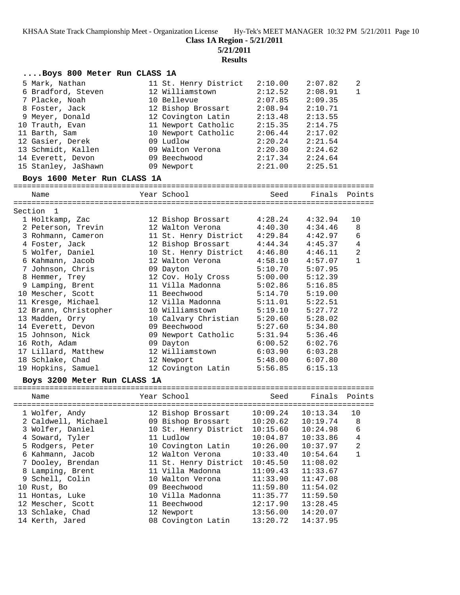**Class 1A Region - 5/21/2011**

**5/21/2011**

**Results**

| Boys 800 Meter Run CLASS 1A |  |  |  |  |  |
|-----------------------------|--|--|--|--|--|
|-----------------------------|--|--|--|--|--|

| 5 Mark, Nathan      | 11 St. Henry District | 2:10.00 | 2:07.82 | 2              |
|---------------------|-----------------------|---------|---------|----------------|
| 6 Bradford, Steven  | 12 Williamstown       | 2:12.52 | 2:08.91 | $\overline{1}$ |
| 7 Placke, Noah      | 10 Bellevue           | 2:07.85 | 2:09.35 |                |
| 8 Foster, Jack      | 12 Bishop Brossart    | 2:08.94 | 2:10.71 |                |
| 9 Meyer, Donald     | 12 Covington Latin    | 2:13.48 | 2:13.55 |                |
| 10 Trauth, Evan     | 11 Newport Catholic   | 2:15.35 | 2:14.75 |                |
| 11 Barth, Sam       | 10 Newport Catholic   | 2:06.44 | 2:17.02 |                |
| 12 Gasier, Derek    | 09 Ludlow             | 2:20.24 | 2:21.54 |                |
| 13 Schmidt, Kallen  | 09 Walton Verona      | 2:20.30 | 2:24.62 |                |
| 14 Everett, Devon   | 09 Beechwood          | 2:17.34 | 2:24.64 |                |
| 15 Stanley, JaShawn | 09 Newport            | 2:21.00 | 2:25.51 |                |
|                     |                       |         |         |                |

#### **Boys 1600 Meter Run CLASS 1A**

================================================================================ Name  $Year School$  Seed Finals Points

| Section 1             |                          |         |         |                |
|-----------------------|--------------------------|---------|---------|----------------|
| 1 Holtkamp, Zac       | 12 Bishop Brossart       | 4:28.24 | 4:32.94 | 10             |
| 2 Peterson, Trevin    | 12 Walton Verona 4:40.30 |         | 4:34.46 | 8              |
| 3 Rohmann, Cameron    | 11 St. Henry District    | 4:29.84 | 4:42.97 | 6              |
| 4 Foster, Jack        | 12 Bishop Brossart       | 4:44.34 | 4:45.37 | 4              |
| 5 Wolfer, Daniel      | 10 St. Henry District    | 4:46.80 | 4:46.11 | $\overline{2}$ |
| 6 Kahmann, Jacob      | 12 Walton Verona         | 4:58.10 | 4:57.07 | $\mathbf{1}$   |
| 7 Johnson, Chris      | 09 Dayton                | 5:10.70 | 5:07.95 |                |
| 8 Hemmer, Trey        | 12 Cov. Holy Cross       | 5:00.00 | 5:12.39 |                |
| 9 Lamping, Brent      | 11 Villa Madonna         | 5:02.86 | 5:16.85 |                |
| 10 Mescher, Scott     | 11 Beechwood             | 5:14.70 | 5:19.00 |                |
| 11 Kresge, Michael    | 12 Villa Madonna         | 5:11.01 | 5:22.51 |                |
| 12 Brann, Christopher | 10 Williamstown          | 5:19.10 | 5:27.72 |                |
| 13 Madden, Orry       | 10 Calvary Christian     | 5:20.60 | 5:28.02 |                |
| 14 Everett, Devon     | 09 Beechwood             | 5:27.60 | 5:34.80 |                |
| 15 Johnson, Nick      | 09 Newport Catholic      | 5:31.94 | 5:36.46 |                |
| 16 Roth, Adam         | 09 Dayton                | 6:00.52 | 6:02.76 |                |
| 17 Lillard, Matthew   | 12 Williamstown          | 6:03.90 | 6:03.28 |                |
| 18 Schlake, Chad      | 12 Newport               | 5:48.00 | 6:07.80 |                |
| 19 Hopkins, Samuel    | 12 Covington Latin       | 5:56.85 | 6:15.13 |                |

#### **Boys 3200 Meter Run CLASS 1A**

| Name                | Year School                            | Seed     | Finals Points |    |
|---------------------|----------------------------------------|----------|---------------|----|
| 1 Wolfer, Andy      | ----------------<br>12 Bishop Brossart | 10:09.24 | 10:13.34      | 10 |
| 2 Caldwell, Michael | 09 Bishop Brossart                     | 10:20.62 | 10:19.74      | 8  |
| 3 Wolfer, Daniel    | 10 St. Henry District                  | 10:15.60 | 10:24.98      | 6  |
| 4 Soward, Tyler     | 11 Ludlow                              | 10:04.87 | 10:33.86      | 4  |
| 5 Rodgers, Peter    | 10 Covington Latin                     | 10:26.00 | 10:37.97      | 2  |
| 6 Kahmann, Jacob    | 12 Walton Verona                       | 10:33.40 | 10:54.64      |    |
| 7 Dooley, Brendan   | 11 St. Henry District                  | 10:45.50 | 11:08.02      |    |
| 8 Lamping, Brent    | 11 Villa Madonna                       | 11:09.43 | 11:33.67      |    |
| 9 Schell, Colin     | 10 Walton Verona                       | 11:33.90 | 11:47.08      |    |
| 10 Rust, Bo         | 09 Beechwood                           | 11:59.80 | 11:54.02      |    |
| 11 Hontas, Luke     | 10 Villa Madonna                       | 11:35.77 | 11:59.50      |    |
| 12 Mescher, Scott   | 11 Beechwood                           | 12:17.90 | 13:28.45      |    |
| 13 Schlake, Chad    | 12 Newport                             | 13:56.00 | 14:20.07      |    |
| 14 Kerth, Jared     | 08 Covington Latin                     | 13:20.72 | 14:37.95      |    |
|                     |                                        |          |               |    |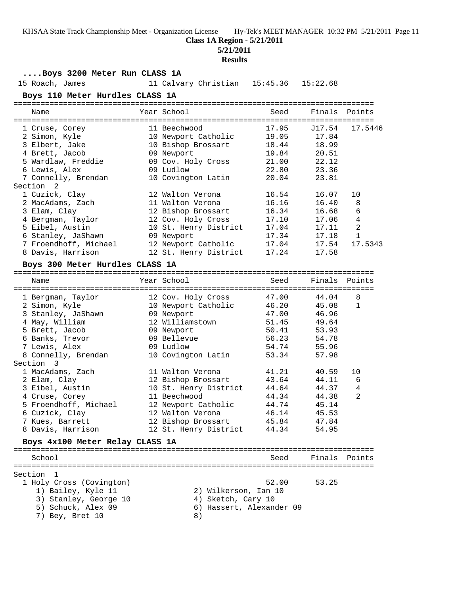#### **Class 1A Region - 5/21/2011**

**5/21/2011**

#### **Results**

## **....Boys 3200 Meter Run CLASS 1A**

15 Roach, James 11 Calvary Christian 15:45.36 15:22.68

#### **Boys 110 Meter Hurdles CLASS 1A**

| Name                  | Year School           | Seed  | Finals Points |                |
|-----------------------|-----------------------|-------|---------------|----------------|
|                       |                       |       |               |                |
| 1 Cruse, Corey        | 11 Beechwood          | 17.95 | J17.54        | 17.5446        |
| 2 Simon, Kyle         | 10 Newport Catholic   | 19.05 | 17.84         |                |
| 3 Elbert, Jake        | 10 Bishop Brossart    | 18.44 | 18.99         |                |
| 4 Brett, Jacob        | 09 Newport            | 19.84 | 20.51         |                |
| 5 Wardlaw, Freddie    | 09 Cov. Holy Cross    | 21.00 | 22.12         |                |
| 6 Lewis, Alex         | 09 Ludlow             | 22.80 | 23.36         |                |
| 7 Connelly, Brendan   | 10 Covington Latin    | 20.04 | 23.81         |                |
| Section 2             |                       |       |               |                |
| 1 Cuzick, Clay        | 12 Walton Verona      | 16.54 | 16.07         | 10             |
| 2 MacAdams, Zach      | 11 Walton Verona      | 16.16 | 16.40         | 8              |
| 3 Elam, Clay          | 12 Bishop Brossart    | 16.34 | 16.68         | 6              |
| 4 Bergman, Taylor     | 12 Cov. Holy Cross    | 17.10 | 17.06         | 4              |
| 5 Eibel, Austin       | 10 St. Henry District | 17.04 | 17.11         | $\overline{2}$ |
| 6 Stanley, JaShawn    | 09 Newport            | 17.34 | 17.18         | $\mathbf{1}$   |
| 7 Froendhoff, Michael | 12 Newport Catholic   | 17.04 | 17.54         | 17.5343        |
| 8 Davis, Harrison     | 12 St. Henry District | 17.24 | 17.58         |                |

#### **Boys 300 Meter Hurdles CLASS 1A**

| Name                            |  | Year School                            | Seed        | Finals Points |                |  |  |  |  |
|---------------------------------|--|----------------------------------------|-------------|---------------|----------------|--|--|--|--|
| 1 Bergman, Taylor               |  | :===============<br>12 Cov. Holy Cross | 47.00 44.04 |               | 8              |  |  |  |  |
| 2 Simon, Kyle                   |  | 10 Newport Catholic                    | 46.20 45.08 |               | $\mathbf{1}$   |  |  |  |  |
| 3 Stanley, JaShawn              |  | 09 Newport                             | 47.00 46.96 |               |                |  |  |  |  |
| 4 May, William                  |  | 12 Williamstown                        | 51.45 49.64 |               |                |  |  |  |  |
| 5 Brett, Jacob                  |  | 09 Newport                             | 50.41 53.93 |               |                |  |  |  |  |
| 6 Banks, Trevor                 |  | 09 Bellevue                            | 56.23 54.78 |               |                |  |  |  |  |
| 7 Lewis, Alex                   |  | 09 Ludlow                              | 54.74 55.96 |               |                |  |  |  |  |
| 8 Connelly, Brendan             |  | 10 Covington Latin                     | 53.34       | 57.98         |                |  |  |  |  |
| Section 3                       |  |                                        |             |               |                |  |  |  |  |
| 1 MacAdams, Zach                |  | 11 Walton Verona                       | 41.21       | 40.59         | 10             |  |  |  |  |
| 2 Elam, Clay                    |  | 12 Bishop Brossart                     | 43.64 44.11 |               | 6              |  |  |  |  |
| 3 Eibel, Austin                 |  | 10 St. Henry District                  | 44.64       | 44.37         | $\overline{4}$ |  |  |  |  |
| 4 Cruse, Corey                  |  | 11 Beechwood                           | 44.34       | 44.38         | $\overline{2}$ |  |  |  |  |
| 5 Froendhoff, Michael           |  | 12 Newport Catholic                    | 44.74 45.14 |               |                |  |  |  |  |
| 6 Cuzick, Clay                  |  | 12 Walton Verona                       | 46.14 45.53 |               |                |  |  |  |  |
| 7 Kues, Barrett                 |  | 12 Bishop Brossart                     | 45.84 47.84 |               |                |  |  |  |  |
| 8 Davis, Harrison               |  | 12 St. Henry District                  | 44.34       | 54.95         |                |  |  |  |  |
| Boys 4x100 Meter Relay CLASS 1A |  |                                        |             |               |                |  |  |  |  |
|                                 |  |                                        |             |               |                |  |  |  |  |

### School Seed Finals Points ================================================================================ Section 1 1 Holy Cross (Covington) 52.00 53.25 1) Bailey, Kyle 11 2) Wilkerson, Ian 10 3) Stanley, George 10  $\hskip 1.6cm 4$  Sketch, Cary 10 5) Schuck, Alex 09 6) Hassert, Alexander 09 7) Bey, Bret 10 8)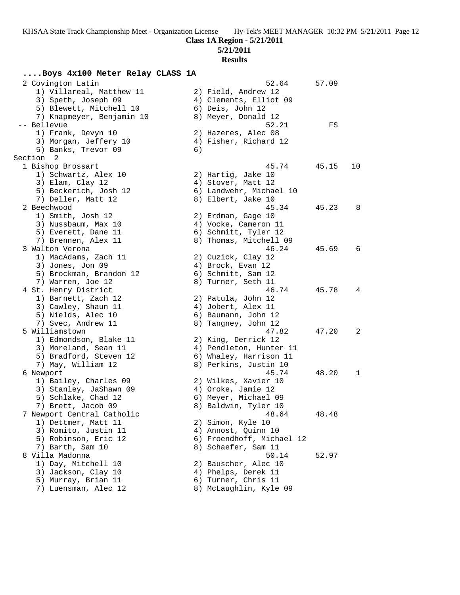# **5/21/2011**

# **Results**

# **....Boys 4x100 Meter Relay CLASS 1A**

| 2 Covington Latin          |    | 52.64                     | 57.09 |    |
|----------------------------|----|---------------------------|-------|----|
| 1) Villareal, Matthew 11   |    | 2) Field, Andrew 12       |       |    |
| 3) Speth, Joseph 09        |    | 4) Clements, Elliot 09    |       |    |
| 5) Blewett, Mitchell 10    |    | 6) Deis, John 12          |       |    |
| 7) Knapmeyer, Benjamin 10  |    | 8) Meyer, Donald 12       |       |    |
| -- Bellevue                |    | 52.21                     | FS    |    |
| 1) Frank, Devyn 10         |    | 2) Hazeres, Alec 08       |       |    |
| 3) Morgan, Jeffery 10      |    | 4) Fisher, Richard 12     |       |    |
| 5) Banks, Trevor 09        | 6) |                           |       |    |
| Section<br>$\overline{2}$  |    |                           |       |    |
| 1 Bishop Brossart          |    | 45.74                     | 45.15 | 10 |
| 1) Schwartz, Alex 10       |    | 2) Hartig, Jake 10        |       |    |
| 3) Elam, Clay 12           |    | 4) Stover, Matt 12        |       |    |
| 5) Beckerich, Josh 12      |    | 6) Landwehr, Michael 10   |       |    |
| 7) Deller, Matt 12         |    | 8) Elbert, Jake 10        |       |    |
| 2 Beechwood                |    | 45.34                     | 45.23 | 8  |
| 1) Smith, Josh 12          |    | 2) Erdman, Gage 10        |       |    |
| 3) Nussbaum, Max 10        |    | 4) Vocke, Cameron 11      |       |    |
| 5) Everett, Dane 11        |    | 6) Schmitt, Tyler 12      |       |    |
| 7) Brennen, Alex 11        |    | 8) Thomas, Mitchell 09    |       |    |
| 3 Walton Verona            |    | 46.24                     | 45.69 | 6  |
| 1) MacAdams, Zach 11       |    | 2) Cuzick, Clay 12        |       |    |
| 3) Jones, Jon 09           |    | 4) Brock, Evan 12         |       |    |
| 5) Brockman, Brandon 12    |    | 6) Schmitt, Sam 12        |       |    |
| 7) Warren, Joe 12          |    | 8) Turner, Seth 11        |       |    |
| 4 St. Henry District       |    | 46.74                     | 45.78 | 4  |
| 1) Barnett, Zach 12        |    | 2) Patula, John 12        |       |    |
| 3) Cawley, Shaun 11        |    | 4) Jobert, Alex 11        |       |    |
| 5) Nields, Alec 10         |    | 6) Baumann, John 12       |       |    |
| 7) Svec, Andrew 11         |    | 8) Tangney, John 12       |       |    |
| 5 Williamstown             |    | 47.82                     | 47.20 | 2  |
| 1) Edmondson, Blake 11     |    | 2) King, Derrick 12       |       |    |
| 3) Moreland, Sean 11       |    | 4) Pendleton, Hunter 11   |       |    |
| 5) Bradford, Steven 12     |    | 6) Whaley, Harrison 11    |       |    |
| 7) May, William 12         |    | 8) Perkins, Justin 10     |       |    |
| 6 Newport                  |    | 45.74                     | 48.20 | 1  |
| 1) Bailey, Charles 09      |    | 2) Wilkes, Xavier 10      |       |    |
| 3) Stanley, JaShawn 09     |    | 4) Oroke, Jamie 12        |       |    |
| 5) Schlake, Chad 12        |    | 6) Meyer, Michael 09      |       |    |
| 7) Brett, Jacob 09         |    | 8) Baldwin, Tyler 10      |       |    |
| 7 Newport Central Catholic |    | 48.64                     | 48.48 |    |
| 1) Dettmer, Matt 11        |    | 2) Simon, Kyle 10         |       |    |
| 3) Romito, Justin 11       |    | 4) Annost, Quinn 10       |       |    |
| 5) Robinson, Eric 12       |    | 6) Froendhoff, Michael 12 |       |    |
| 7) Barth, Sam 10           |    | 8) Schaefer, Sam 11       |       |    |
| 8 Villa Madonna            |    | 50.14                     | 52.97 |    |
| 1) Day, Mitchell 10        |    | 2) Bauscher, Alec 10      |       |    |
| 3) Jackson, Clay 10        |    | 4) Phelps, Derek 11       |       |    |
| 5) Murray, Brian 11        |    | 6) Turner, Chris 11       |       |    |
| 7) Luensman, Alec 12       |    | 8) McLaughlin, Kyle 09    |       |    |
|                            |    |                           |       |    |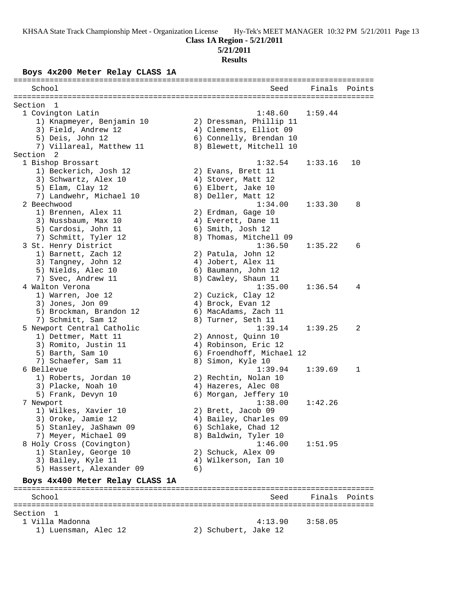## **Class 1A Region - 5/21/2011**

## **5/21/2011**

**Results**

## **Boys 4x200 Meter Relay CLASS 1A**

|           | School |                                   |    | Seed                             |         | Finals Points |
|-----------|--------|-----------------------------------|----|----------------------------------|---------|---------------|
|           |        |                                   |    |                                  |         |               |
| Section   |        | 1                                 |    |                                  |         |               |
|           |        | 1 Covington Latin                 |    | 1:48.60                          | 1:59.44 |               |
|           |        | 1) Knapmeyer, Benjamin 10         |    | 2) Dressman, Phillip 11          |         |               |
|           |        | 3) Field, Andrew 12               |    | 4) Clements, Elliot 09           |         |               |
|           |        | 5) Deis, John 12                  |    | 6) Connelly, Brendan 10          |         |               |
|           |        | 7) Villareal, Matthew 11          |    | 8) Blewett, Mitchell 10          |         |               |
| Section 2 |        |                                   |    |                                  |         |               |
|           |        | 1 Bishop Brossart                 |    | 1:32.54                          | 1:33.16 | 10            |
|           |        | 1) Beckerich, Josh 12             |    | 2) Evans, Brett 11               |         |               |
|           |        | 3) Schwartz, Alex 10              |    | 4) Stover, Matt 12               |         |               |
|           |        | 5) Elam, Clay 12                  |    | 6) Elbert, Jake 10               |         |               |
|           |        | 7) Landwehr, Michael 10           |    | 8) Deller, Matt 12               |         |               |
|           |        | 2 Beechwood                       |    | 1:34.00                          | 1:33.30 | 8             |
|           |        | 1) Brennen, Alex 11               |    | 2) Erdman, Gage 10               |         |               |
|           |        | 3) Nussbaum, Max 10               |    | 4) Everett, Dane 11              |         |               |
|           |        | 5) Cardosi, John 11               |    | 6) Smith, Josh 12                |         |               |
|           |        | 7) Schmitt, Tyler 12              |    | 8) Thomas, Mitchell 09           |         |               |
|           |        | 3 St. Henry District              |    | 1:36.50                          | 1:35.22 | 6             |
|           |        | 1) Barnett, Zach 12               |    | 2) Patula, John 12               |         |               |
|           |        | 3) Tangney, John 12               |    | 4) Jobert, Alex 11               |         |               |
|           |        | 5) Nields, Alec 10                |    | 6) Baumann, John 12              |         |               |
|           |        | 7) Svec, Andrew 11                |    | 8) Cawley, Shaun 11              |         |               |
|           |        | 4 Walton Verona                   |    | 1:35.00                          | 1:36.54 | 4             |
|           |        | 1) Warren, Joe 12                 |    | 2) Cuzick, Clay 12               |         |               |
|           |        | 3) Jones, Jon 09                  |    | 4) Brock, Evan 12                |         |               |
|           |        | 5) Brockman, Brandon 12           |    | 6) MacAdams, Zach 11             |         |               |
|           |        | 7) Schmitt, Sam 12                |    | 8) Turner, Seth 11               |         |               |
|           |        | 5 Newport Central Catholic        |    | 1:39.14                          | 1:39.25 | 2             |
|           |        | 1) Dettmer, Matt 11               |    | 2) Annost, Quinn 10              |         |               |
|           |        | 3) Romito, Justin 11              |    | 4) Robinson, Eric 12             |         |               |
|           |        | 5) Barth, Sam 10                  |    | 6) Froendhoff, Michael 12        |         |               |
|           |        | 7) Schaefer, Sam 11               |    | 8) Simon, Kyle 10                |         |               |
|           |        | 6 Bellevue                        |    | 1:39.94                          | 1:39.69 | 1             |
|           |        | 1) Roberts, Jordan 10             |    | 2) Rechtin, Nolan 10             |         |               |
|           |        | 3) Placke, Noah 10                |    | 4) Hazeres, Alec 08              |         |               |
|           |        | 5) Frank, Devyn 10                |    | 6) Morgan, Jeffery 10<br>1:38.00 | 1:42.26 |               |
|           |        | 7 Newport<br>1) Wilkes, Xavier 10 |    | 2) Brett, Jacob 09               |         |               |
|           |        | 3) Oroke, Jamie 12                |    | 4) Bailey, Charles 09            |         |               |
|           |        | 5) Stanley, JaShawn 09            |    | 6) Schlake, Chad 12              |         |               |
|           |        | 7) Meyer, Michael 09              |    | 8) Baldwin, Tyler 10             |         |               |
|           |        | 8 Holy Cross (Covington)          |    | 1:46.00                          | 1:51.95 |               |
|           |        | 1) Stanley, George 10             |    | 2) Schuck, Alex 09               |         |               |
|           |        | 3) Bailey, Kyle 11                |    | 4) Wilkerson, Ian 10             |         |               |
|           |        | 5) Hassert, Alexander 09          | 6) |                                  |         |               |
|           |        |                                   |    |                                  |         |               |
|           |        | Boys 4x400 Meter Relay CLASS 1A   |    |                                  |         |               |
|           |        |                                   |    |                                  |         |               |
|           | School |                                   |    | Seed                             | Finals  | Points        |
| Section   |        | -1                                |    |                                  |         |               |
|           |        | 1 Villa Madonna                   |    | 4:13.90                          | 3:58.05 |               |
|           |        | 1) Luensman, Alec 12              |    | 2) Schubert, Jake 12             |         |               |
|           |        |                                   |    |                                  |         |               |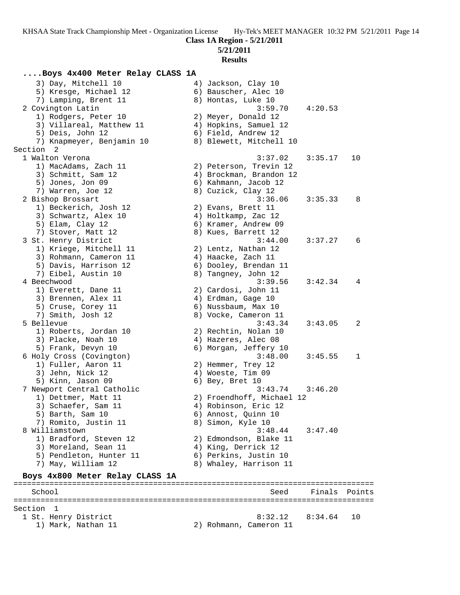**5/21/2011**

#### **Results**

#### **....Boys 4x400 Meter Relay CLASS 1A**

3) Day, Mitchell 10 (4) Jackson, Clay 10 5) Kresge, Michael 12 (6) Bauscher, Alec 10 7) Lamping, Brent 11 and 8) Hontas, Luke 10 2 Covington Latin 3:59.70 4:20.53 1) Rodgers, Peter 10 2) Meyer, Donald 12 3) Villareal, Matthew 11 4) Hopkins, Samuel 12 5) Deis, John 12 (6) Field, Andrew 12 7) Knapmeyer, Benjamin 10 8) Blewett, Mitchell 10 Section 2<br>1 Walton Verona 1 Walton Verona 3:37.02 3:35.17 10 1) MacAdams, Zach 11 2) Peterson, Trevin 12 3) Schmitt, Sam 12 4) Brockman, Brandon 12 5) Jones, Jon 09 6) Kahmann, Jacob 12 7) Warren, Joe 12 8) Cuzick, Clay 12 2 Bishop Brossart 3:36.06 3:35.33 8 1) Beckerich, Josh 12 (2) Evans, Brett 11 3) Schwartz, Alex 10 (4) Holtkamp, Zac 12 5) Elam, Clay 12 6) Kramer, Andrew 09 7) Stover, Matt 12 8) Kues, Barrett 12 3 St. Henry District 3:44.00 3:37.27 6 1) Kriege, Mitchell 11 2) Lentz, Nathan 12 3) Rohmann, Cameron 11  $\qquad \qquad$  4) Haacke, Zach 11 5) Davis, Harrison 12 6) Dooley, Brendan 11 7) Eibel, Austin 10  $\hphantom{\text{2.65}$  8) Tangney, John 12 4 Beechwood 3:39.56 3:42.34 4 1) Everett, Dane 11 2) Cardosi, John 11 3) Brennen, Alex 11 (4) Erdman, Gage 10 5) Cruse, Corey 11 6) Nussbaum, Max 10 7) Smith, Josh 12 8) Vocke, Cameron 11 5 Bellevue 3:43.34 3:43.05 2 1) Roberts, Jordan 10 (2) Rechtin, Nolan 10 3) Placke, Noah 10 (4) Hazeres, Alec 08 5) Frank, Devyn 10 6) Morgan, Jeffery 10 6 Holy Cross (Covington) 3:48.00 3:45.55 1 1) Fuller, Aaron 11 2) Hemmer, Trey 12 3) Jehn, Nick 12 4) Woeste, Tim 09

| 5) Kinn, Jason 09               | $6)$ Bey, Bret 10         |                     |    |
|---------------------------------|---------------------------|---------------------|----|
| 7 Newport Central Catholic      |                           | $3:43.74$ $3:46.20$ |    |
| 1) Dettmer, Matt 11             | 2) Froendhoff, Michael 12 |                     |    |
| 3) Schaefer, Sam 11             | 4) Robinson, Eric 12      |                     |    |
| 5) Barth, Sam 10                | 6) Annost, Quinn 10       |                     |    |
| 7) Romito, Justin 11            | 8) Simon, Kyle 10         |                     |    |
| 8 Williamstown                  |                           | $3:48.44$ $3:47.40$ |    |
| 1) Bradford, Steven 12          | 2) Edmondson, Blake 11    |                     |    |
| 3) Moreland, Sean 11            | 4) King, Derrick 12       |                     |    |
| 5) Pendleton, Hunter 11         | 6) Perkins, Justin 10     |                     |    |
| 7) May, William 12              | 8) Whaley, Harrison 11    |                     |    |
| Boys 4x800 Meter Relay CLASS 1A |                           |                     |    |
| School                          |                           | Seed Finals Points  |    |
| Section 1                       |                           |                     |    |
| 1 St. Henry District            |                           | $8:32.12$ $8:34.64$ | 10 |
| 1) Mark, Nathan 11              | 2) Rohmann, Cameron 11    |                     |    |